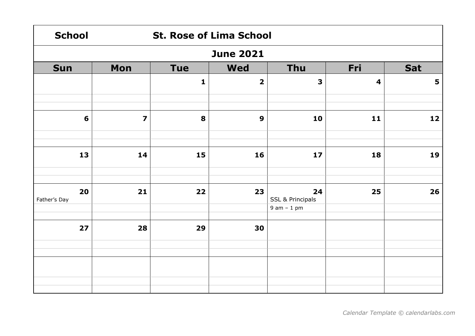| <b>School</b>    |                         | <b>St. Rose of Lima School</b> |                         |                             |                         |     |  |  |  |
|------------------|-------------------------|--------------------------------|-------------------------|-----------------------------|-------------------------|-----|--|--|--|
| <b>June 2021</b> |                         |                                |                         |                             |                         |     |  |  |  |
| <b>Sun</b>       | Mon                     | <b>Tue</b>                     | <b>Wed</b>              | <b>Thu</b>                  | Fri                     | Sat |  |  |  |
|                  |                         | $\mathbf{1}$                   | $\overline{\mathbf{2}}$ | $\overline{\mathbf{3}}$     | $\overline{\mathbf{4}}$ | 5   |  |  |  |
|                  |                         |                                |                         |                             |                         |     |  |  |  |
| 6                | $\overline{\mathbf{z}}$ | 8                              | 9                       | 10                          | $11$                    | 12  |  |  |  |
|                  |                         |                                |                         |                             |                         |     |  |  |  |
| 13               | 14                      | 15                             | 16                      | 17                          | 18                      | 19  |  |  |  |
| 20               | 21                      | 22                             | 23                      | 24                          | 25                      | 26  |  |  |  |
| Father's Day     |                         |                                |                         | <b>SSL &amp; Principals</b> |                         |     |  |  |  |
|                  |                         |                                |                         | $9$ am $-1$ pm              |                         |     |  |  |  |
| 27               | 28                      | 29                             | 30                      |                             |                         |     |  |  |  |
|                  |                         |                                |                         |                             |                         |     |  |  |  |
|                  |                         |                                |                         |                             |                         |     |  |  |  |
|                  |                         |                                |                         |                             |                         |     |  |  |  |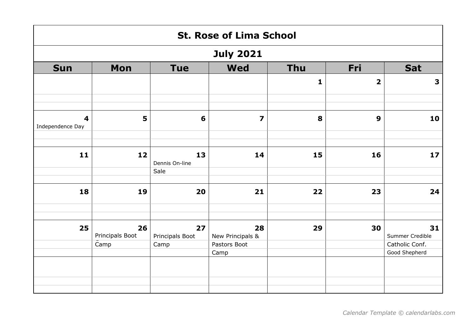|                                             | <b>St. Rose of Lima School</b> |                       |                         |              |                         |                                 |  |  |  |
|---------------------------------------------|--------------------------------|-----------------------|-------------------------|--------------|-------------------------|---------------------------------|--|--|--|
|                                             |                                |                       | <b>July 2021</b>        |              |                         |                                 |  |  |  |
| <b>Sun</b>                                  | Mon                            | <b>Tue</b>            | <b>Wed</b>              | <b>Thu</b>   | Fri                     | <b>Sat</b>                      |  |  |  |
|                                             |                                |                       |                         | $\mathbf{1}$ | $\overline{\mathbf{2}}$ | $\overline{\mathbf{3}}$         |  |  |  |
|                                             |                                |                       |                         |              |                         |                                 |  |  |  |
| $\overline{\mathbf{4}}$<br>Independence Day | 5                              | 6                     | $\overline{\mathbf{z}}$ | 8            | $\boldsymbol{9}$        | 10                              |  |  |  |
|                                             |                                |                       |                         |              |                         |                                 |  |  |  |
| 11                                          | 12                             | 13<br>Dennis On-line  | 14                      | 15           | 16                      | 17                              |  |  |  |
|                                             |                                | Sale                  |                         |              |                         |                                 |  |  |  |
| 18                                          | 19                             | 20                    | 21                      | 22           | 23                      | 24                              |  |  |  |
|                                             |                                |                       |                         |              |                         |                                 |  |  |  |
| 25                                          | 26<br>Principals Boot          | 27<br>Principals Boot | 28<br>New Principals &  | 29           | 30                      | 31<br>Summer Credible           |  |  |  |
|                                             | Camp                           | Camp                  | Pastors Boot<br>Camp    |              |                         | Catholic Conf.<br>Good Shepherd |  |  |  |
|                                             |                                |                       |                         |              |                         |                                 |  |  |  |
|                                             |                                |                       |                         |              |                         |                                 |  |  |  |
|                                             |                                |                       |                         |              |                         |                                 |  |  |  |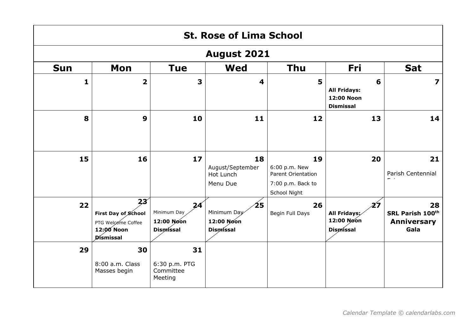|            | <b>St. Rose of Lima School</b><br><b>August 2021</b>                                    |                                                     |                                                     |                                                                                       |                                                            |                                                      |  |  |  |
|------------|-----------------------------------------------------------------------------------------|-----------------------------------------------------|-----------------------------------------------------|---------------------------------------------------------------------------------------|------------------------------------------------------------|------------------------------------------------------|--|--|--|
|            |                                                                                         |                                                     |                                                     |                                                                                       |                                                            |                                                      |  |  |  |
| <b>Sun</b> | Mon                                                                                     | <b>Tue</b>                                          | <b>Wed</b>                                          | <b>Thu</b>                                                                            | <b>Fri</b>                                                 | <b>Sat</b>                                           |  |  |  |
| 1          | $\overline{\mathbf{2}}$                                                                 | 3                                                   | 4                                                   | 5                                                                                     | 6<br><b>All Fridays:</b><br>12:00 Noon<br><b>Dismissal</b> | $\overline{\mathbf{z}}$                              |  |  |  |
| 8          | 9                                                                                       | 10                                                  | 11                                                  | 12                                                                                    | 13                                                         | 14                                                   |  |  |  |
| 15         | 16                                                                                      | 17                                                  | 18<br>August/September<br>Hot Lunch<br>Menu Due     | 19<br>6:00 p.m. New<br><b>Parent Orientation</b><br>7:00 p.m. Back to<br>School Night | 20                                                         | 21<br>Parish Centennial                              |  |  |  |
| 22         | 23 <sup>′</sup><br>First Day of School<br>PTG Welcome Coffee<br>12:00 Noon<br>Dismissal | 24<br>Minimum Day<br>12:00 Noon<br><b>Dismissal</b> | 25<br>Minimum Day<br>12:00 Noon<br><b>Dismissal</b> | 26<br>Begin Full Days                                                                 | 27<br>All Fridays;<br>12:00 Noon<br><b>Dismissal</b>       | 28<br>SRL Parish 100th<br><b>Anniversary</b><br>Gala |  |  |  |
| 29         | 30<br>8:00 a.m. Class<br>Masses begin                                                   | 31<br>6:30 p.m. PTG<br>Committee<br>Meeting         |                                                     |                                                                                       |                                                            |                                                      |  |  |  |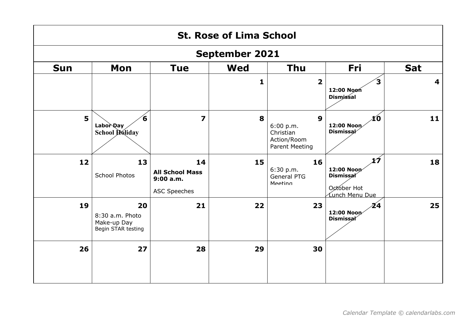|            | <b>St. Rose of Lima School</b><br><b>September 2021</b>    |                                                                 |            |                                                                                    |                                                     |                         |  |  |  |
|------------|------------------------------------------------------------|-----------------------------------------------------------------|------------|------------------------------------------------------------------------------------|-----------------------------------------------------|-------------------------|--|--|--|
|            |                                                            |                                                                 |            |                                                                                    |                                                     |                         |  |  |  |
| <b>Sun</b> | Mon                                                        | <b>Tue</b>                                                      | <b>Wed</b> | <b>Thu</b>                                                                         | Fri                                                 | <b>Sat</b>              |  |  |  |
|            |                                                            |                                                                 | 1          | $\overline{\mathbf{2}}$                                                            | 3<br>12:00 Noon<br><b>Dismissal</b>                 | $\overline{\mathbf{4}}$ |  |  |  |
| 5          | 6<br>Labor Day<br>School Holiday                           | $\overline{\mathbf{z}}$                                         | 8          | $\boldsymbol{9}$<br>6:00 p.m.<br>Christian<br>Action/Room<br><b>Parent Meeting</b> | łО<br>12:00 Noon<br><b>Dismissal</b>                | 11                      |  |  |  |
| 12         | 13<br>School Photos                                        | 14<br><b>All School Mass</b><br>9:00a.m.<br><b>ASC Speeches</b> | 15         | 16<br>6:30 p.m.<br>General PTG<br>Meeting                                          | 1Í<br>12:00 Noon<br><b>Dismissal</b><br>October Hot | 18                      |  |  |  |
| 19         | 20<br>8:30 a.m. Photo<br>Make-up Day<br>Begin STAR testing | 21                                                              | 22         | 23                                                                                 | $\mathbf{Z}$ 4<br>12:00 Noon<br><b>Dismissal</b>    | 25                      |  |  |  |
| 26         | 27                                                         | 28                                                              | 29         | 30                                                                                 |                                                     |                         |  |  |  |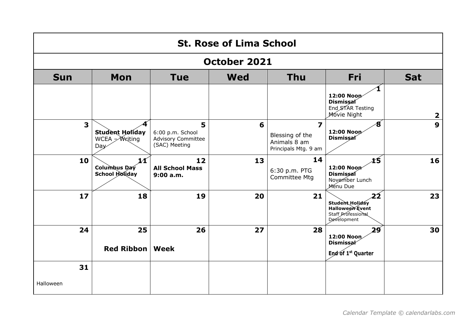|                         | <b>St. Rose of Lima School</b>                                |                                                                     |            |                                                                                    |                                                                                      |                         |  |  |  |
|-------------------------|---------------------------------------------------------------|---------------------------------------------------------------------|------------|------------------------------------------------------------------------------------|--------------------------------------------------------------------------------------|-------------------------|--|--|--|
| <b>October 2021</b>     |                                                               |                                                                     |            |                                                                                    |                                                                                      |                         |  |  |  |
| <b>Sun</b>              | Mon                                                           | <b>Tue</b>                                                          | <b>Wed</b> | <b>Thu</b>                                                                         | <b>Fri</b>                                                                           | <b>Sat</b>              |  |  |  |
|                         |                                                               |                                                                     |            |                                                                                    | 12:00 Noon<br><b>Dismissal</b><br>End STAR Testing<br>Movie Night                    | $\overline{\mathbf{2}}$ |  |  |  |
| $\overline{\mathbf{3}}$ | <b>Student Holiday</b><br>WCEA $\cancel{\sim}$ Writing<br>Day | 5<br>6:00 p.m. School<br><b>Advisory Committee</b><br>(SAC) Meeting | 6          | $\overline{\mathbf{z}}$<br>Blessing of the<br>Animals 8 am<br>Principals Mtg. 9 am | 8<br>12:00 Noon<br>Dismissal                                                         | $\boldsymbol{9}$        |  |  |  |
| 10                      | 11<br>Columbus Day<br><b>School Holiday</b>                   | 12<br><b>All School Mass</b><br>9:00a.m.                            | 13         | 14<br>6:30 p.m. PTG<br><b>Committee Mtg</b>                                        | 15<br>12:00 Noon<br><b>Dismissal</b><br>November Lunch<br>Menu Due                   | 16                      |  |  |  |
| 17                      | 18                                                            | 19                                                                  | 20         | 21                                                                                 | 22<br>Student Holiday<br><b>Halloween</b> Event<br>Staff Professional<br>Development | 23                      |  |  |  |
| 24                      | 25<br>Red Ribbon   Week                                       | 26                                                                  | 27         | 28                                                                                 | 29<br>12:00 Noon<br><b>Dismissal</b><br>End of 1 <sup>st</sup> Quarter               | 30                      |  |  |  |
| 31                      |                                                               |                                                                     |            |                                                                                    |                                                                                      |                         |  |  |  |
| Halloween               |                                                               |                                                                     |            |                                                                                    |                                                                                      |                         |  |  |  |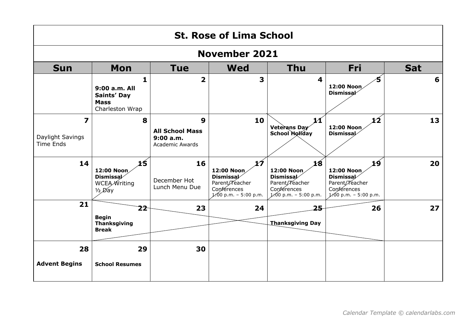|                                           | <b>St. Rose of Lima School</b>                                                    |                                                                                  |                                                                                                  |                                                                                                  |                                                                                                  |            |  |  |  |
|-------------------------------------------|-----------------------------------------------------------------------------------|----------------------------------------------------------------------------------|--------------------------------------------------------------------------------------------------|--------------------------------------------------------------------------------------------------|--------------------------------------------------------------------------------------------------|------------|--|--|--|
|                                           |                                                                                   |                                                                                  | <b>November 2021</b>                                                                             |                                                                                                  |                                                                                                  |            |  |  |  |
| <b>Sun</b>                                | Mon                                                                               | Tue                                                                              | <b>Wed</b>                                                                                       | <b>Thu</b>                                                                                       | Fri                                                                                              | <b>Sat</b> |  |  |  |
|                                           | 1<br>9:00 a.m. All<br>Saints' Day<br><b>Mass</b><br>Charleston Wrap               | $\overline{\mathbf{2}}$                                                          | 3                                                                                                | $\overline{\mathbf{4}}$                                                                          | 12:00 Noon<br><b>Dismissal</b>                                                                   | 6          |  |  |  |
| 7<br>Daylight Savings<br><b>Time Ends</b> | 8                                                                                 | $\boldsymbol{9}$<br><b>All School Mass</b><br>9:00a.m.<br><b>Academic Awards</b> | 10                                                                                               | 11<br>Veterans Day<br><b>School Holiday</b>                                                      | 12<br>12:00 Noon<br><b>Dismissal</b>                                                             | 13         |  |  |  |
| 14                                        | 15<br>12:00 Noon<br><b>Dismissal</b><br>WCEA <i>W</i> riting<br>$\frac{1}{2}$ Day | 16<br>December Hot<br>Lunch Menu Due                                             | 1Ź<br>12:00 Noon<br><b>Dismissal</b><br>Parent/Teacher<br>Conférences<br>$1.00$ p.m. - 5:00 p.m. | 18<br>12:00 Noon<br><b>Dismissal</b><br>Parent/Teacher<br>Conferences<br>$1.00$ p.m. - 5:00 p.m. | 19<br>12:00 Noon<br><b>Dismissal</b><br>Parent/Teacher<br>Conferences<br>$1.00$ p.m. - 5:00 p.m. | 20         |  |  |  |
| 21                                        | 22<br><b>Begin</b><br><b>Thanksgiving</b><br><b>Break</b>                         | 23                                                                               | 24                                                                                               | 25<br><b>Thanksgiving Day</b>                                                                    | 26                                                                                               | 27         |  |  |  |
| 28<br><b>Advent Begins</b>                | 29<br><b>School Resumes</b>                                                       | 30                                                                               |                                                                                                  |                                                                                                  |                                                                                                  |            |  |  |  |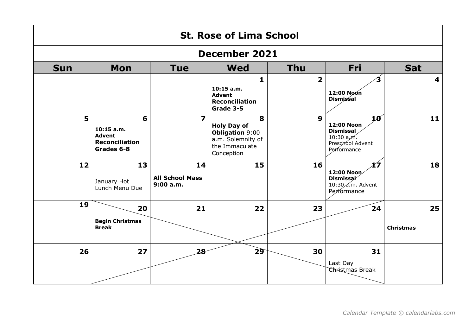|                | <b>St. Rose of Lima School</b>                                            |                                           |                                                                                                        |                  |                                                                                         |                         |  |  |  |
|----------------|---------------------------------------------------------------------------|-------------------------------------------|--------------------------------------------------------------------------------------------------------|------------------|-----------------------------------------------------------------------------------------|-------------------------|--|--|--|
|                | <b>December 2021</b>                                                      |                                           |                                                                                                        |                  |                                                                                         |                         |  |  |  |
| <b>Sun</b>     | Mon                                                                       | <b>Tue</b>                                | <b>Wed</b>                                                                                             | <b>Thu</b>       | Fri                                                                                     | <b>Sat</b>              |  |  |  |
|                |                                                                           |                                           | $\mathbf{1}$<br>$10:15$ a.m.<br><b>Advent</b><br><b>Reconciliation</b><br>Grade 3-5                    | $\overline{2}$   | 12:00 Noon<br><b>Dismissal</b>                                                          | $\overline{\mathbf{4}}$ |  |  |  |
| 5 <sup>1</sup> | 6<br>$10:15$ a.m.<br><b>Advent</b><br><b>Reconciliation</b><br>Grades 6-8 | $\overline{\mathbf{z}}$                   | 8<br><b>Holy Day of</b><br><b>Obligation 9:00</b><br>a.m. Solemnity of<br>the Immaculate<br>Conception | $\boldsymbol{9}$ | 10<br>12:00 Noon<br><b>Dismissal</b><br>$10:30$ a,m.<br>Preschool Advent<br>Performance | 11                      |  |  |  |
| 12             | 13<br>January Hot<br>Lunch Menu Due                                       | 14<br><b>All School Mass</b><br>9:00 a.m. | 15                                                                                                     | 16               | X7<br>12:00 Noon<br>Dismissal<br>10:30 a.m. Advent<br>Performance                       | 18                      |  |  |  |
| 19             | 20<br><b>Begin Christmas</b><br><b>Break</b>                              | 21                                        | 22                                                                                                     | 23               | 24                                                                                      | 25<br><b>Christmas</b>  |  |  |  |
| 26             | 27                                                                        | 28                                        | 29                                                                                                     | 30               | 31<br>Last Day<br>Christmas Break                                                       |                         |  |  |  |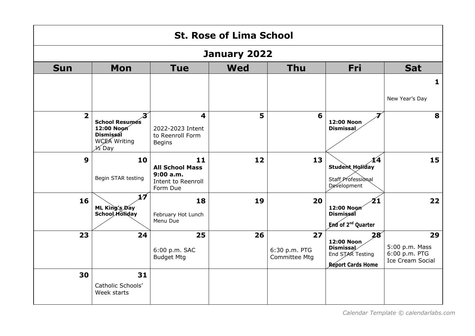|                | <b>St. Rose of Lima School</b>                                                                                             |                                                                            |            |                                      |                                                                                      |                                                                  |  |  |  |
|----------------|----------------------------------------------------------------------------------------------------------------------------|----------------------------------------------------------------------------|------------|--------------------------------------|--------------------------------------------------------------------------------------|------------------------------------------------------------------|--|--|--|
|                | January 2022                                                                                                               |                                                                            |            |                                      |                                                                                      |                                                                  |  |  |  |
| <b>Sun</b>     | Mon                                                                                                                        | <b>Tue</b>                                                                 | <b>Wed</b> | <b>Thu</b>                           | Fri                                                                                  | <b>Sat</b>                                                       |  |  |  |
|                |                                                                                                                            |                                                                            |            |                                      |                                                                                      | 1                                                                |  |  |  |
|                |                                                                                                                            |                                                                            |            |                                      |                                                                                      | New Year's Day                                                   |  |  |  |
| $\overline{2}$ | $\boldsymbol{\mathcal{Z}}$<br><b>School Resumés</b><br>12:00 Noon<br><b>Dismissal</b><br>WCEA Writing<br>$\mathcal{H}$ Day | 4<br>2022-2023 Intent<br>to Reenroll Form<br><b>Begins</b>                 | 5          | 6                                    | 12:00 Noon<br><b>Dismissal</b>                                                       | 8                                                                |  |  |  |
| 9              | 10<br>Begin STAR testing                                                                                                   | 11<br><b>All School Mass</b><br>9:00a.m.<br>Intent to Reenroll<br>Form Due | 12         | 13                                   | 14<br><b>Student Holiday</b><br>Staff Professional<br><b>Development</b>             | 15                                                               |  |  |  |
| 16             | 17<br>ML King's Day<br><b>School Holiday</b>                                                                               | 18<br>February Hot Lunch<br>Menu Due                                       | 19         | 20                                   | 21<br>12:00 Noon<br>Dismissal<br>End of 2 <sup>nd</sup> Quarter                      | 22                                                               |  |  |  |
| 23             | 24                                                                                                                         | 25<br>6:00 p.m. SAC<br><b>Budget Mtg</b>                                   | 26         | 27<br>6:30 p.m. PTG<br>Committee Mtg | 28<br>12:00 Noon<br><b>Dismissal</b><br>End STAR Testing<br><b>Report Cards Home</b> | 29<br>5:00 p.m. Mass<br>6:00 p.m. PTG<br><b>Ice Cream Social</b> |  |  |  |
| 30             | 31<br>Catholic Schools'<br>Week starts                                                                                     |                                                                            |            |                                      |                                                                                      |                                                                  |  |  |  |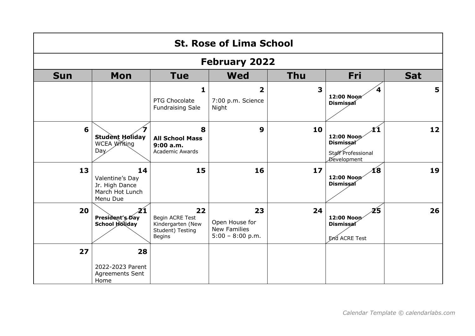|            | <b>St. Rose of Lima School</b>                                         |                                                                                 |                                                            |                         |                                                                           |            |  |  |
|------------|------------------------------------------------------------------------|---------------------------------------------------------------------------------|------------------------------------------------------------|-------------------------|---------------------------------------------------------------------------|------------|--|--|
|            |                                                                        |                                                                                 | <b>February 2022</b>                                       |                         |                                                                           |            |  |  |
| <b>Sun</b> | Mon                                                                    | <b>Tue</b>                                                                      | <b>Wed</b>                                                 | <b>Thu</b>              | <b>Fri</b>                                                                | <b>Sat</b> |  |  |
|            |                                                                        | $\mathbf{1}$<br>PTG Chocolate<br><b>Fundraising Sale</b>                        | $\overline{2}$<br>7:00 p.m. Science<br>Night               | $\overline{\mathbf{3}}$ | 12:00 Noon<br><b>Dismissal</b>                                            | 5          |  |  |
| 6          | <b>Student Holiday</b><br>WCEA Writing<br>Day                          | 8<br><b>All School Mass</b><br>9:00a.m.<br><b>Academic Awards</b>               | $\boldsymbol{9}$                                           | 10                      | X1<br>12:00 Noon<br><b>Dismissal</b><br>Staff Professional<br>Development | 12         |  |  |
| 13         | 14<br>Valentine's Day<br>Jr. High Dance<br>March Hot Lunch<br>Menu Due | 15                                                                              | 16                                                         | 17                      | 18<br>12:00 Noon<br>Dismissal                                             | 19         |  |  |
| 20         | 21<br>President's Day<br>School Holiday                                | 22<br>Begin ACRE Test<br>Kindergarten (New<br>Student) Testing<br><b>Begins</b> | 23<br>Open House for<br>New Families<br>$5:00 - 8:00 p.m.$ | 24                      | 25<br>12:00 Noon<br><b>Dismissal</b><br>End ACRE Test                     | 26         |  |  |
| 27         | 28<br>2022-2023 Parent<br><b>Agreements Sent</b><br>Home               |                                                                                 |                                                            |                         |                                                                           |            |  |  |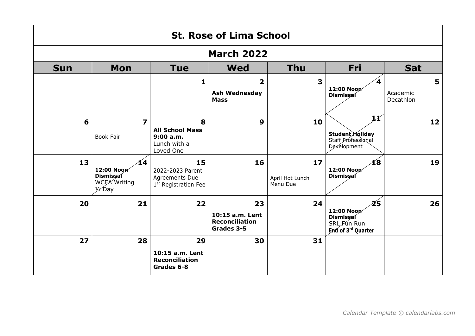|            | <b>St. Rose of Lima School</b>                                     |                                                                              |                                                              |                                     |                                                                    |                            |  |  |  |
|------------|--------------------------------------------------------------------|------------------------------------------------------------------------------|--------------------------------------------------------------|-------------------------------------|--------------------------------------------------------------------|----------------------------|--|--|--|
|            | <b>March 2022</b>                                                  |                                                                              |                                                              |                                     |                                                                    |                            |  |  |  |
| <b>Sun</b> | Mon                                                                | <b>Tue</b>                                                                   | <b>Wed</b>                                                   | <b>Thu</b>                          | Fri                                                                | <b>Sat</b>                 |  |  |  |
|            |                                                                    | $\mathbf{1}$                                                                 | $\overline{2}$<br><b>Ash Wednesday</b><br><b>Mass</b>        | $\overline{\mathbf{3}}$             | 12:00 Noon<br>Dismissaí                                            | 5<br>Academic<br>Decathlon |  |  |  |
| 6          | $\overline{\mathbf{z}}$<br><b>Book Fair</b>                        | 8<br><b>All School Mass</b><br>9:00a.m.<br>Lunch with a<br>Loved One         | $\boldsymbol{9}$                                             | 10                                  | 11<br>Student Holiday<br>Staff Professional<br>Development         | 12                         |  |  |  |
| 13         | 14<br>12:00 Noon<br>Dismissal<br>WCEA Writing<br>$\frac{1}{2}$ Day | 15<br>2022-2023 Parent<br>Agreements Due<br>1 <sup>st</sup> Registration Fee | 16                                                           | $17$<br>April Hot Lunch<br>Menu Due | 18<br>12:00 Noon<br><b>Dismissal</b>                               | 19                         |  |  |  |
| 20         | 21                                                                 | 22                                                                           | 23<br>10:15 a.m. Lent<br><b>Reconciliation</b><br>Grades 3-5 | 24                                  | 25<br>12:00 Noon<br>Dismissal<br>SRL Fun Run<br>End of 3rd Quarter | 26                         |  |  |  |
| 27         | 28                                                                 | 29<br>10:15 a.m. Lent<br><b>Reconciliation</b><br>Grades 6-8                 | 30                                                           | 31                                  |                                                                    |                            |  |  |  |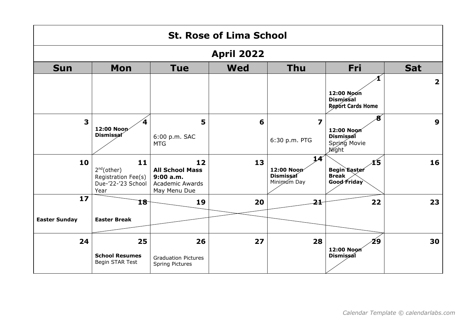|                         | <b>St. Rose of Lima School</b>                                                     |                                                                                     |                   |                                                           |                                                                     |                         |  |  |  |
|-------------------------|------------------------------------------------------------------------------------|-------------------------------------------------------------------------------------|-------------------|-----------------------------------------------------------|---------------------------------------------------------------------|-------------------------|--|--|--|
|                         |                                                                                    |                                                                                     | <b>April 2022</b> |                                                           |                                                                     |                         |  |  |  |
| <b>Sun</b>              | Mon                                                                                | <b>Tue</b>                                                                          | <b>Wed</b>        | <b>Thu</b>                                                | Fri                                                                 | <b>Sat</b>              |  |  |  |
|                         |                                                                                    |                                                                                     |                   |                                                           | 12:00 Noon<br><b>Dismissal</b><br><b>Report Cards Home</b>          | $\overline{\mathbf{2}}$ |  |  |  |
| $\overline{\mathbf{3}}$ | 4<br>12:00 Noon<br><b>Dismissal</b>                                                | 5<br>6:00 p.m. SAC<br><b>MTG</b>                                                    | 6                 | $\overline{\mathbf{z}}$<br>6:30 p.m. PTG                  | 8<br>12:00 Noon<br><b>Dismissal</b><br>Spring Movie<br><b>Night</b> | 9                       |  |  |  |
| 10                      | 11<br>2 <sup>nd</sup> (other)<br>Registration Fee(s)<br>Due-'22-'23 School<br>Year | 12<br><b>All School Mass</b><br>9:00 a.m.<br><b>Academic Awards</b><br>May Menu Due | 13                | 14 <sup>′</sup><br>12:00 Noon<br>Dismissal<br>Minimum Day | 15<br><b>Begin Easter</b><br><b>Break</b><br>Good Friday            | 16                      |  |  |  |
| 17                      | 18                                                                                 | 19                                                                                  | 20                | 21                                                        | 22                                                                  | 23                      |  |  |  |
| <b>Easter Sunday</b>    | <b>Easter Break</b>                                                                |                                                                                     |                   |                                                           |                                                                     |                         |  |  |  |
| 24                      | 25<br><b>School Resumes</b><br>Begin STAR Test                                     | 26<br><b>Graduation Pictures</b><br>Spring Pictures                                 | 27                | 28                                                        | 29<br>12:00 Noon<br><b>Dismissal</b>                                | 30                      |  |  |  |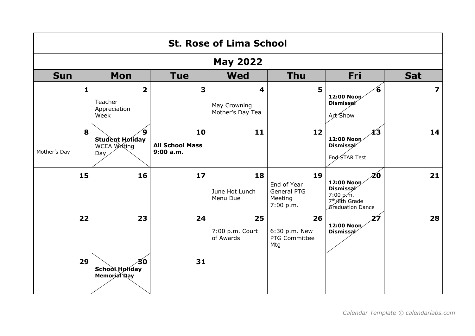|                   | <b>St. Rose of Lima School</b>                             |                                           |                                       |                                                          |                                                                                                     |            |  |  |  |
|-------------------|------------------------------------------------------------|-------------------------------------------|---------------------------------------|----------------------------------------------------------|-----------------------------------------------------------------------------------------------------|------------|--|--|--|
| <b>May 2022</b>   |                                                            |                                           |                                       |                                                          |                                                                                                     |            |  |  |  |
| <b>Sun</b>        | <b>Mon</b>                                                 | <b>Tue</b>                                | <b>Wed</b>                            | <b>Thu</b>                                               | Fri                                                                                                 | <b>Sat</b> |  |  |  |
| $\mathbf{1}$      | $\overline{\mathbf{2}}$<br>Teacher<br>Appreciation<br>Week | 3                                         | 4<br>May Crowning<br>Mother's Day Tea | 5                                                        | 6<br>12:00 Noon<br><b>Dismissal</b><br>Art Show                                                     | 7          |  |  |  |
| 8<br>Mother's Day | 9<br><b>Student Holiday</b><br>WCEA Writing<br>Day         | 10<br><b>All School Mass</b><br>9:00 a.m. | 11                                    | 12                                                       | 13<br>12:00 Noon<br>Dismissal<br>End STAR Test                                                      | 14         |  |  |  |
| 15                | 16                                                         | 17                                        | 18<br>June Hot Lunch<br>Menu Due      | 19<br>End of Year<br>General PTG<br>Meeting<br>7:00 p.m. | 20<br>12:00 Noon<br><b>Dismissal</b><br>7:00 p.m.<br>7 <sup>th</sup> /8th Grade<br>Graduation Dance | 21         |  |  |  |
| 22                | 23                                                         | 24                                        | 25<br>7:00 p.m. Court<br>of Awards    | 26<br>6:30 p.m. New<br>PTG Committee<br>Mtg              | 27<br>12:00 Noon<br>Dismissal                                                                       | 28         |  |  |  |
| 29                | 30<br><b>School Holiday</b><br>Memorial Day                | 31                                        |                                       |                                                          |                                                                                                     |            |  |  |  |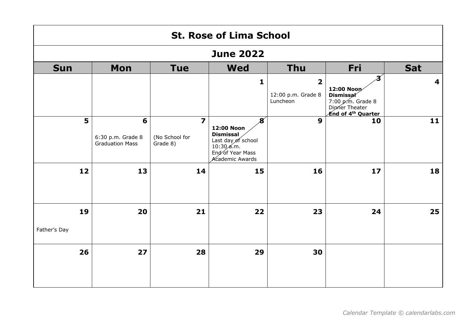| <b>St. Rose of Lima School</b> |                                                  |                                                       |                                                                                                                |                                                           |                                                                                                    |            |  |  |
|--------------------------------|--------------------------------------------------|-------------------------------------------------------|----------------------------------------------------------------------------------------------------------------|-----------------------------------------------------------|----------------------------------------------------------------------------------------------------|------------|--|--|
| <b>June 2022</b>               |                                                  |                                                       |                                                                                                                |                                                           |                                                                                                    |            |  |  |
| <b>Sun</b>                     | Mon                                              | <b>Tue</b>                                            | <b>Wed</b>                                                                                                     | <b>Thu</b>                                                | <b>Fri</b>                                                                                         | <b>Sat</b> |  |  |
|                                |                                                  |                                                       | $\mathbf{1}$                                                                                                   | $\overline{\mathbf{2}}$<br>12:00 p.m. Grade 8<br>Luncheon | 12:00 Noon<br><b>Dismissal</b><br>7:00 p.m. Grade 8<br>Dipmer Theater<br><b>End of 4th Quarter</b> | 4          |  |  |
| 5                              | 6<br>6:30 p.m. Grade 8<br><b>Graduation Mass</b> | $\overline{\mathbf{z}}$<br>(No School for<br>Grade 8) | 8<br>12:00 Noon<br><b>Dismissal</b><br>Last day of school<br>10:30 a.m.<br>End of Year Mass<br>Academic Awards | $\boldsymbol{9}$                                          | 10                                                                                                 | 11         |  |  |
| 12                             | 13                                               | 14                                                    | 15                                                                                                             | 16                                                        | 17                                                                                                 | 18         |  |  |
| 19                             | 20                                               | 21                                                    | 22                                                                                                             | 23                                                        | 24                                                                                                 | 25         |  |  |
| Father's Day                   |                                                  |                                                       |                                                                                                                |                                                           |                                                                                                    |            |  |  |
| 26                             | 27                                               | 28                                                    | 29                                                                                                             | 30                                                        |                                                                                                    |            |  |  |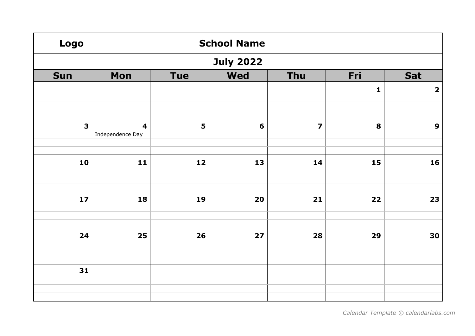| <b>Logo</b> | <b>School Name</b>                          |     |                 |                         |              |                         |  |  |  |
|-------------|---------------------------------------------|-----|-----------------|-------------------------|--------------|-------------------------|--|--|--|
|             | <b>July 2022</b>                            |     |                 |                         |              |                         |  |  |  |
| <b>Sun</b>  | Mon                                         | Tue | <b>Wed</b>      | Thu                     | Fri          | Sat                     |  |  |  |
|             |                                             |     |                 |                         | $\mathbf{1}$ | $\overline{\mathbf{2}}$ |  |  |  |
|             |                                             |     |                 |                         |              |                         |  |  |  |
| 3           | $\overline{\mathbf{4}}$<br>Independence Day | 5   | $6\phantom{1}6$ | $\overline{\mathbf{z}}$ | 8            | $\boldsymbol{9}$        |  |  |  |
|             |                                             |     |                 |                         |              |                         |  |  |  |
| 10          | $\mathbf{11}$                               | 12  | 13              | 14                      | 15           | 16                      |  |  |  |
|             |                                             |     |                 |                         |              |                         |  |  |  |
| $17$        | 18                                          | 19  | 20              | $21$                    | 22           | 23                      |  |  |  |
| 24          | 25                                          | 26  | 27              | 28                      | 29           | 30                      |  |  |  |
|             |                                             |     |                 |                         |              |                         |  |  |  |
| 31          |                                             |     |                 |                         |              |                         |  |  |  |
|             |                                             |     |                 |                         |              |                         |  |  |  |